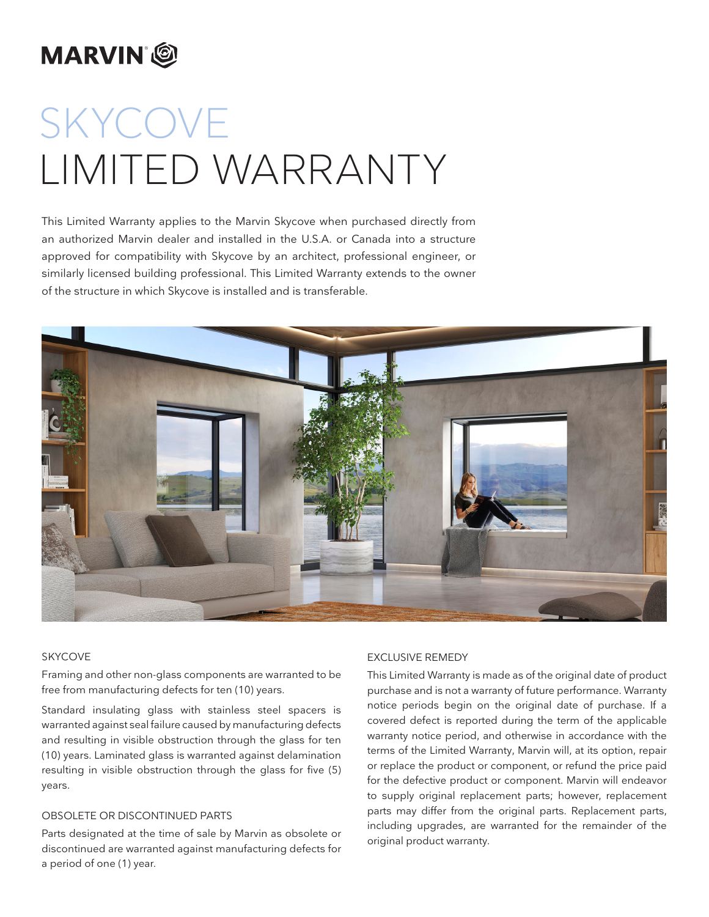# **MARVIN**<sup>®</sup>

# SKYCOVE LIMITED WARRANTY

This Limited Warranty applies to the Marvin Skycove when purchased directly from an authorized Marvin dealer and installed in the U.S.A. or Canada into a structure approved for compatibility with Skycove by an architect, professional engineer, or similarly licensed building professional. This Limited Warranty extends to the owner of the structure in which Skycove is installed and is transferable.



#### SKYCOVE

Framing and other non-glass components are warranted to be free from manufacturing defects for ten (10) years.

Standard insulating glass with stainless steel spacers is warranted against seal failure caused by manufacturing defects and resulting in visible obstruction through the glass for ten (10) years. Laminated glass is warranted against delamination resulting in visible obstruction through the glass for five (5) years.

# OBSOLETE OR DISCONTINUED PARTS

Parts designated at the time of sale by Marvin as obsolete or discontinued are warranted against manufacturing defects for a period of one (1) year.

# EXCLUSIVE REMEDY

This Limited Warranty is made as of the original date of product purchase and is not a warranty of future performance. Warranty notice periods begin on the original date of purchase. If a covered defect is reported during the term of the applicable warranty notice period, and otherwise in accordance with the terms of the Limited Warranty, Marvin will, at its option, repair or replace the product or component, or refund the price paid for the defective product or component. Marvin will endeavor to supply original replacement parts; however, replacement parts may differ from the original parts. Replacement parts, including upgrades, are warranted for the remainder of the original product warranty.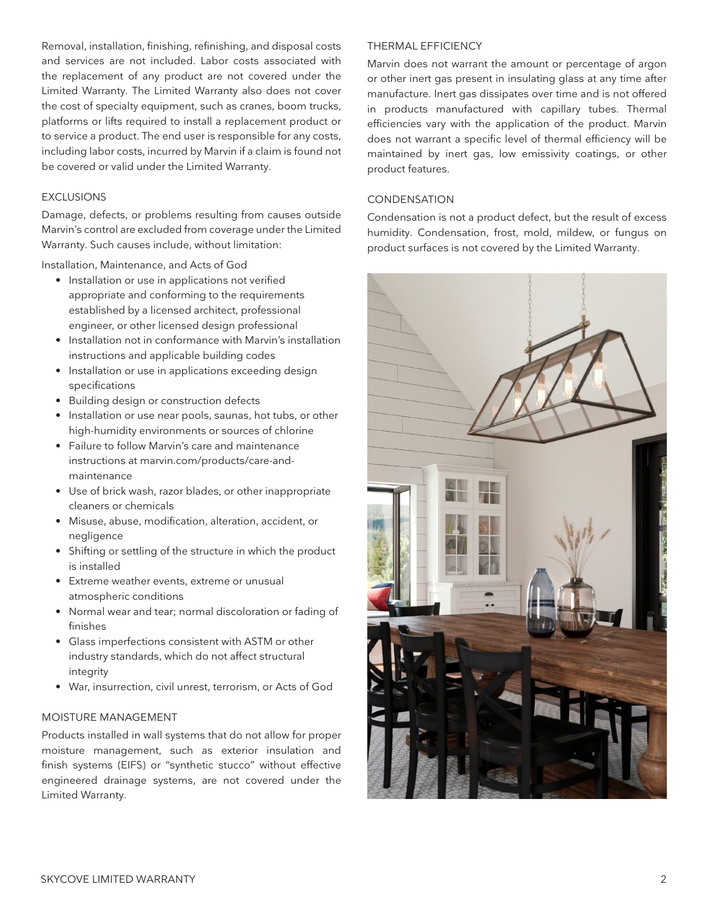Removal, installation, finishing, refinishing, and disposal costs and services are not included. Labor costs associated with the replacement of any product are not covered under the Limited Warranty. The Limited Warranty also does not cover the cost of specialty equipment, such as cranes, boom trucks, platforms or lifts required to install a replacement product or to service a product. The end user is responsible for any costs, including labor costs, incurred by Marvin if a claim is found not be covered or valid under the Limited Warranty.

# EXCLUSIONS

Damage, defects, or problems resulting from causes outside Marvin's control are excluded from coverage under the Limited Warranty. Such causes include, without limitation:

Installation, Maintenance, and Acts of God

- Installation or use in applications not verified appropriate and conforming to the requirements established by a licensed architect, professional engineer, or other licensed design professional
- Installation not in conformance with Marvin's installation instructions and applicable building codes
- Installation or use in applications exceeding design specifications
- Building design or construction defects
- Installation or use near pools, saunas, hot tubs, or other high-humidity environments or sources of chlorine
- Failure to follow Marvin's care and maintenance instructions at marvin.com/products/care-andmaintenance
- Use of brick wash, razor blades, or other inappropriate cleaners or chemicals
- Misuse, abuse, modification, alteration, accident, or negligence
- Shifting or settling of the structure in which the product is installed
- Extreme weather events, extreme or unusual atmospheric conditions
- Normal wear and tear; normal discoloration or fading of finishes
- Glass imperfections consistent with ASTM or other industry standards, which do not affect structural integrity
- War, insurrection, civil unrest, terrorism, or Acts of God

# MOISTURE MANAGEMENT

Products installed in wall systems that do not allow for proper moisture management, such as exterior insulation and finish systems (EIFS) or "synthetic stucco" without effective engineered drainage systems, are not covered under the Limited Warranty.

# THERMAL EFFICIENCY

Marvin does not warrant the amount or percentage of argon or other inert gas present in insulating glass at any time after manufacture. Inert gas dissipates over time and is not offered in products manufactured with capillary tubes. Thermal efficiencies vary with the application of the product. Marvin does not warrant a specific level of thermal efficiency will be maintained by inert gas, low emissivity coatings, or other product features.

# CONDENSATION

Condensation is not a product defect, but the result of excess humidity. Condensation, frost, mold, mildew, or fungus on product surfaces is not covered by the Limited Warranty.